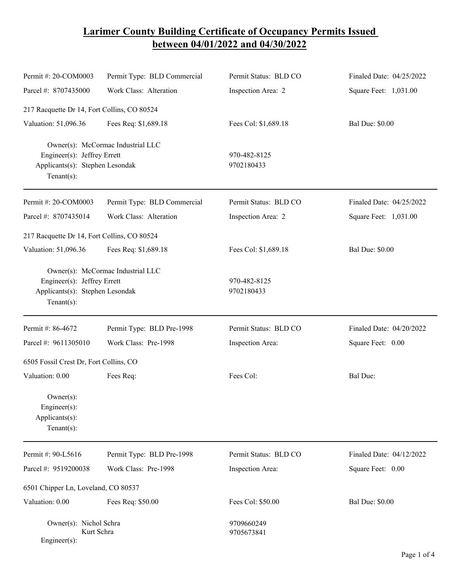## **Larimer County Building Certificate of Occupancy Permits Issued between 04/01/2022 and 04/30/2022**

| Permit #: 20-COM0003                                                                                                  | Permit Type: BLD Commercial | Permit Status: BLD CO      | Finaled Date: 04/25/2022 |
|-----------------------------------------------------------------------------------------------------------------------|-----------------------------|----------------------------|--------------------------|
| Parcel #: 8707435000                                                                                                  | Work Class: Alteration      | Inspection Area: 2         | Square Feet: 1,031.00    |
| 217 Racquette Dr 14, Fort Collins, CO 80524                                                                           |                             |                            |                          |
| Valuation: 51,096.36                                                                                                  | Fees Req: \$1,689.18        | Fees Col: \$1,689.18       | <b>Bal Due: \$0.00</b>   |
| Owner(s): McCormac Industrial LLC<br>Engineer(s): Jeffrey Errett<br>Applicants(s): Stephen Lesondak<br>Tenant $(s)$ : |                             | 970-482-8125<br>9702180433 |                          |
| Permit #: 20-COM0003                                                                                                  | Permit Type: BLD Commercial | Permit Status: BLD CO      | Finaled Date: 04/25/2022 |
| Parcel #: 8707435014                                                                                                  | Work Class: Alteration      | Inspection Area: 2         | Square Feet: 1,031.00    |
| 217 Racquette Dr 14, Fort Collins, CO 80524                                                                           |                             |                            |                          |
| Valuation: 51,096.36                                                                                                  | Fees Req: \$1,689.18        | Fees Col: \$1,689.18       | <b>Bal Due: \$0.00</b>   |
| Owner(s): McCormac Industrial LLC<br>Engineer(s): Jeffrey Errett<br>Applicants(s): Stephen Lesondak<br>$Tenant(s)$ :  |                             | 970-482-8125<br>9702180433 |                          |
| Permit #: 86-4672                                                                                                     | Permit Type: BLD Pre-1998   | Permit Status: BLD CO      | Finaled Date: 04/20/2022 |
| Parcel #: 9611305010                                                                                                  | Work Class: Pre-1998        | Inspection Area:           | Square Feet: 0.00        |
| 6505 Fossil Crest Dr, Fort Collins, CO                                                                                |                             |                            |                          |
| Valuation: 0.00                                                                                                       | Fees Req:                   | Fees Col:                  | Bal Due:                 |
| $Owner(s)$ :<br>$Engineering(s)$ :<br>Applicants(s):<br>$Tenant(s)$ :                                                 |                             |                            |                          |
| Permit #: 90-L5616                                                                                                    | Permit Type: BLD Pre-1998   | Permit Status: BLD CO      | Finaled Date: 04/12/2022 |
| Parcel #: 9519200038                                                                                                  | Work Class: Pre-1998        | Inspection Area:           | Square Feet: 0.00        |
| 6501 Chipper Ln, Loveland, CO 80537                                                                                   |                             |                            |                          |
| Valuation: 0.00                                                                                                       | Fees Req: \$50.00           | Fees Col: \$50.00          | <b>Bal Due: \$0.00</b>   |
| Owner(s): Nichol Schra<br>Kurt Schra<br>Engineer(s):                                                                  |                             | 9709660249<br>9705673841   |                          |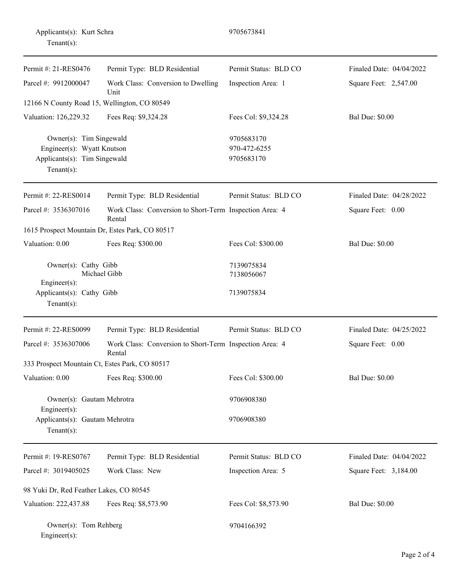| Applicants(s): Kurt Schra<br>$Tenant(s)$ :                                                             |                                                                   | 9705673841                               |                          |
|--------------------------------------------------------------------------------------------------------|-------------------------------------------------------------------|------------------------------------------|--------------------------|
| Permit #: 21-RES0476                                                                                   | Permit Type: BLD Residential                                      | Permit Status: BLD CO                    | Finaled Date: 04/04/2022 |
| Parcel #: 9912000047                                                                                   | Work Class: Conversion to Dwelling<br>Unit                        | Inspection Area: 1                       | Square Feet: 2,547.00    |
| 12166 N County Road 15, Wellington, CO 80549                                                           |                                                                   |                                          |                          |
| Valuation: 126,229.32                                                                                  | Fees Req: \$9,324.28                                              | Fees Col: \$9,324.28                     | <b>Bal Due: \$0.00</b>   |
| Owner(s): Tim Singewald<br>Engineer(s): Wyatt Knutson<br>Applicants(s): Tim Singewald<br>$Tenant(s)$ : |                                                                   | 9705683170<br>970-472-6255<br>9705683170 |                          |
| Permit #: 22-RES0014                                                                                   | Permit Type: BLD Residential                                      | Permit Status: BLD CO                    | Finaled Date: 04/28/2022 |
| Parcel #: 3536307016                                                                                   | Work Class: Conversion to Short-Term Inspection Area: 4<br>Rental |                                          | Square Feet: 0.00        |
|                                                                                                        | 1615 Prospect Mountain Dr, Estes Park, CO 80517                   |                                          |                          |
| Valuation: 0.00                                                                                        | Fees Req: \$300.00                                                | Fees Col: \$300.00                       | <b>Bal Due: \$0.00</b>   |
| Owner(s): Cathy Gibb<br>Michael Gibb                                                                   |                                                                   | 7139075834<br>7138056067                 |                          |
| Engineer(s):<br>Applicants(s): Cathy Gibb<br>$Tenant(s)$ :                                             |                                                                   | 7139075834                               |                          |
| Permit #: 22-RES0099                                                                                   | Permit Type: BLD Residential                                      | Permit Status: BLD CO                    | Finaled Date: 04/25/2022 |
| Parcel #: 3536307006                                                                                   | Work Class: Conversion to Short-Term Inspection Area: 4<br>Rental |                                          | Square Feet: 0.00        |
| 333 Prospect Mountain Ct, Estes Park, CO 80517                                                         |                                                                   |                                          |                          |
| Valuation: 0.00                                                                                        | Fees Req: \$300.00                                                | Fees Col: \$300.00                       | <b>Bal Due: \$0.00</b>   |
| Owner(s): Gautam Mehrotra                                                                              |                                                                   | 9706908380                               |                          |
| Engineer(s):<br>Applicants(s): Gautam Mehrotra<br>Tenant $(s)$ :                                       |                                                                   | 9706908380                               |                          |
| Permit #: 19-RES0767                                                                                   | Permit Type: BLD Residential                                      | Permit Status: BLD CO                    | Finaled Date: 04/04/2022 |
| Parcel #: 3019405025                                                                                   | Work Class: New                                                   | Inspection Area: 5                       | Square Feet: 3,184.00    |
| 98 Yuki Dr, Red Feather Lakes, CO 80545                                                                |                                                                   |                                          |                          |
| Valuation: 222,437.88                                                                                  | Fees Req: \$8,573.90                                              | Fees Col: \$8,573.90                     | <b>Bal Due: \$0.00</b>   |
| Owner(s): Tom Rehberg<br>Engineer(s):                                                                  |                                                                   | 9704166392                               |                          |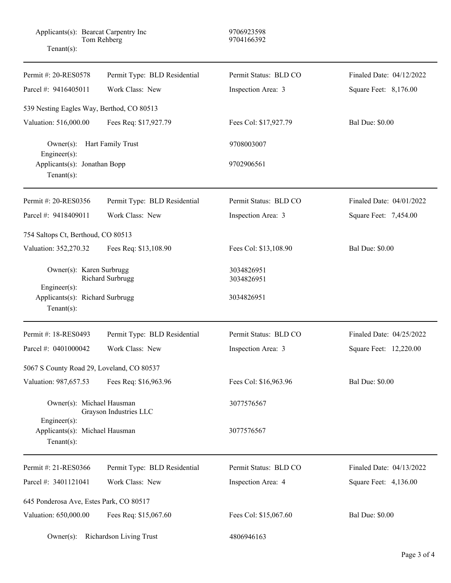| Applicants(s): Bearcat Carpentry Inc<br>Tom Rehberg<br>Tenant $(s)$ : |                              | 9706923598<br>9704166392 |                          |  |
|-----------------------------------------------------------------------|------------------------------|--------------------------|--------------------------|--|
| Permit #: 20-RES0578                                                  | Permit Type: BLD Residential | Permit Status: BLD CO    | Finaled Date: 04/12/2022 |  |
| Parcel #: 9416405011                                                  | Work Class: New              | Inspection Area: 3       | Square Feet: 8,176.00    |  |
| 539 Nesting Eagles Way, Berthod, CO 80513                             |                              |                          |                          |  |
| Valuation: 516,000.00                                                 | Fees Req: \$17,927.79        | Fees Col: \$17,927.79    | <b>Bal Due: \$0.00</b>   |  |
| Hart Family Trust<br>$Owner(s)$ :                                     |                              | 9708003007               |                          |  |
| $Engineering(s)$ :<br>Applicants(s): Jonathan Bopp<br>Tenant $(s)$ :  |                              | 9702906561               |                          |  |
| Permit #: 20-RES0356                                                  | Permit Type: BLD Residential | Permit Status: BLD CO    | Finaled Date: 04/01/2022 |  |
| Parcel #: 9418409011                                                  | Work Class: New              | Inspection Area: 3       | Square Feet: 7,454.00    |  |
| 754 Saltops Ct, Berthoud, CO 80513                                    |                              |                          |                          |  |
| Valuation: 352,270.32                                                 | Fees Req: \$13,108.90        | Fees Col: \$13,108.90    | <b>Bal Due: \$0.00</b>   |  |
| Owner(s): Karen Surbrugg<br>Richard Surbrugg                          |                              | 3034826951<br>3034826951 |                          |  |
| Engineer(s):<br>Applicants(s): Richard Surbrugg<br>Tenant $(s)$ :     |                              | 3034826951               |                          |  |
| Permit #: 18-RES0493                                                  | Permit Type: BLD Residential | Permit Status: BLD CO    | Finaled Date: 04/25/2022 |  |
| Parcel #: 0401000042                                                  | Work Class: New              | Inspection Area: 3       | Square Feet: 12,220.00   |  |
| 5067 S County Road 29, Loveland, CO 80537                             |                              |                          |                          |  |
| Valuation: 987,657.53                                                 | Fees Req: \$16,963.96        | Fees Col: \$16,963.96    | <b>Bal Due: \$0.00</b>   |  |
| Owner(s): Michael Hausman                                             | Grayson Industries LLC       | 3077576567               |                          |  |
| Engineer(s):<br>Applicants(s): Michael Hausman<br>Tenant $(s)$ :      |                              | 3077576567               |                          |  |
| Permit #: 21-RES0366                                                  | Permit Type: BLD Residential | Permit Status: BLD CO    | Finaled Date: 04/13/2022 |  |
| Parcel #: 3401121041                                                  | Work Class: New              | Inspection Area: 4       | Square Feet: 4,136.00    |  |
| 645 Ponderosa Ave, Estes Park, CO 80517                               |                              |                          |                          |  |
| Valuation: 650,000.00                                                 | Fees Req: \$15,067.60        | Fees Col: \$15,067.60    | <b>Bal Due: \$0.00</b>   |  |
| <b>Richardson Living Trust</b><br>$Owner(s)$ :                        |                              | 4806946163               |                          |  |